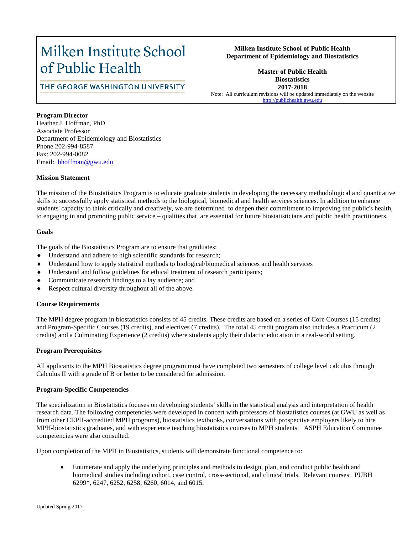## Milken Institute School of Public Health

## THE GEORGE WASHINGTON UNIVERSITY

#### **Milken Institute School of Public Health Department of Epidemiology and Biostatistics**

**Master of Public Health Biostatistics 2017-2018** Note: All curriculum revisions will be updated immediately on the website [http://publichealth.gwu.edu](http://publichealth.gwu.edu/)

#### **Program Director**

Heather J. Hoffman, PhD Associate Professor Department of Epidemiology and Biostatistics Phone 202-994-8587 Fax: 202-994-0082 Email: hhoffman@gwu.edu

#### **Mission Statement**

The mission of the Biostatistics Program is to educate graduate students in developing the necessary methodological and quantitative skills to successfully apply statistical methods to the biological, biomedical and health services sciences. In addition to enhance students' capacity to think critically and creatively, we are determined to deepen their commitment to improving the public's health, to engaging in and promoting public service – qualities that are essential for future biostatisticians and public health practitioners.

#### **Goals**

The goals of the Biostatistics Program are to ensure that graduates:

- Understand and adhere to high scientific standards for research;
- Understand how to apply statistical methods to biological/biomedical sciences and health services
- Understand and follow guidelines for ethical treatment of research participants;
- ♦ Communicate research findings to a lay audience; and
- Respect cultural diversity throughout all of the above.

#### **Course Requirements**

The MPH degree program in biostatistics consists of 45 credits. These credits are based on a series of Core Courses (15 credits) and Program-Specific Courses (19 credits), and electives (7 credits). The total 45 credit program also includes a Practicum (2 credits) and a Culminating Experience (2 credits) where students apply their didactic education in a real-world setting.

#### **Program Prerequisites**

All applicants to the MPH Biostatistics degree program must have completed two semesters of college level calculus through Calculus II with a grade of B or better to be considered for admission.

#### **Program-Specific Competencies**

The specialization in Biostatistics focuses on developing students' skills in the statistical analysis and interpretation of health research data. The following competencies were developed in concert with professors of biostatistics courses (at GWU as well as from other CEPH-accredited MPH programs), biostatistics textbooks, conversations with prospective employers likely to hire MPH-biostatistics graduates, and with experience teaching biostatistics courses to MPH students. ASPH Education Committee competencies were also consulted.

Upon completion of the MPH in Biostatistics, students will demonstrate functional competence to:

• Enumerate and apply the underlying principles and methods to design, plan, and conduct public health and biomedical studies including cohort, case control, cross-sectional, and clinical trials. Relevant courses: PUBH 6299\*, 6247, 6252, 6258, 6260, 6014, and 6015.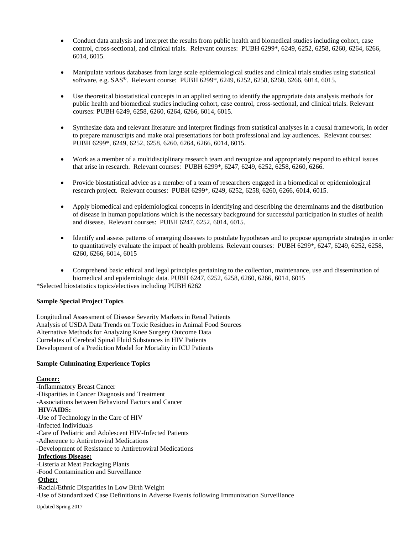- Conduct data analysis and interpret the results from public health and biomedical studies including cohort, case control, cross-sectional, and clinical trials. Relevant courses: PUBH 6299\*, 6249, 6252, 6258, 6260, 6264, 6266, 6014, 6015.
- Manipulate various databases from large scale epidemiological studies and clinical trials studies using statistical software, e.g. SAS®. Relevant course: PUBH 6299\*, 6249, 6252, 6258, 6260, 6266, 6014, 6015.
- Use theoretical biostatistical concepts in an applied setting to identify the appropriate data analysis methods for public health and biomedical studies including cohort, case control, cross-sectional, and clinical trials. Relevant courses: PUBH 6249, 6258, 6260, 6264, 6266, 6014, 6015.
- Synthesize data and relevant literature and interpret findings from statistical analyses in a causal framework, in order to prepare manuscripts and make oral presentations for both professional and lay audiences. Relevant courses: PUBH 6299\*, 6249, 6252, 6258, 6260, 6264, 6266, 6014, 6015.
- Work as a member of a multidisciplinary research team and recognize and appropriately respond to ethical issues that arise in research. Relevant courses: PUBH 6299\*, 6247, 6249, 6252, 6258, 6260, 6266.
- Provide biostatistical advice as a member of a team of researchers engaged in a biomedical or epidemiological research project. Relevant courses: PUBH 6299\*, 6249, 6252, 6258, 6260, 6266, 6014, 6015.
- Apply biomedical and epidemiological concepts in identifying and describing the determinants and the distribution of disease in human populations which is the necessary background for successful participation in studies of health and disease. Relevant courses: PUBH 6247, 6252, 6014, 6015.
- Identify and assess patterns of emerging diseases to postulate hypotheses and to propose appropriate strategies in order to quantitatively evaluate the impact of health problems. Relevant courses: PUBH 6299\*, 6247, 6249, 6252, 6258, 6260, 6266, 6014, 6015
- Comprehend basic ethical and legal principles pertaining to the collection, maintenance, use and dissemination of biomedical and epidemiologic data. PUBH 6247, 6252, 6258, 6260, 6266, 6014, 6015

\*Selected biostatistics topics/electives including PUBH 6262

#### **Sample Special Project Topics**

Longitudinal Assessment of Disease Severity Markers in Renal Patients Analysis of USDA Data Trends on Toxic Residues in Animal Food Sources Alternative Methods for Analyzing Knee Surgery Outcome Data Correlates of Cerebral Spinal Fluid Substances in HIV Patients Development of a Prediction Model for Mortality in ICU Patients

#### **Sample Culminating Experience Topics**

#### **Cancer:**

-Inflammatory Breast Cancer -Disparities in Cancer Diagnosis and Treatment -Associations between Behavioral Factors and Cancer **HIV/AIDS:** -Use of Technology in the Care of HIV -Infected Individuals -Care of Pediatric and Adolescent HIV-Infected Patients -Adherence to Antiretroviral Medications -Development of Resistance to Antiretroviral Medications **Infectious Disease:** -Listeria at Meat Packaging Plants -Food Contamination and Surveillance **Other:** -Racial/Ethnic Disparities in Low Birth Weight -Use of Standardized Case Definitions in Adverse Events following Immunization Surveillance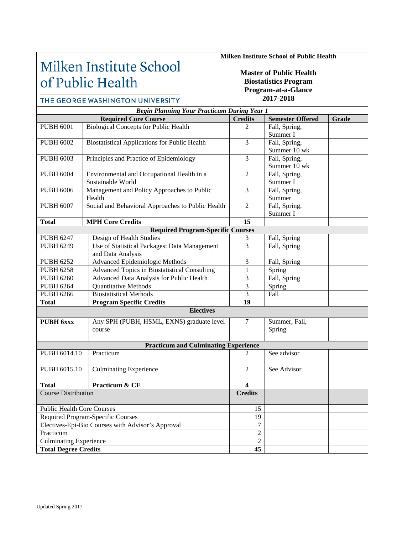## Milken Institute School of Public Health

## **Milken Institute School of Public Health**

**Master of Public Health Biostatistics Program Program-at-a-Glance 2017-2018**

#### THE GEORGE WASHINGTON UNIVERSITY *Begin Planning Your Practicum During Year 1* **Required Core Course Credits Credits Semester Offered Grade** PUBH 6001 Biological Concepts for Public Health 2 Fall, Spring, Summer I PUBH 6002 Biostatistical Applications for Public Health 3 Fall, Spring, Summer 10 wk PUBH 6003 Principles and Practice of Epidemiology 3 Fall, Spring, Summer 10 wk PUBH 6004 Environmental and Occupational Health in a 2 Fall, Spring, Sustainable World Summer I PUBH 6006 Management and Policy Approaches to Public 3 Fall, Spring, Summer Health PUBH 6007 Social and Behavioral Approaches to Public Health 2 Fall, Spring, Summer I Total MPH Core Credits 15 **Required Program-Specific Courses** PUBH 6247 Design of Health Studies 2 and 3 Fall, Spring PUBH 6249 Use of Statistical Packages: Data Management 3 Fall, Spring and Data Analysis PUBH 6252 | Advanced Epidemiologic Methods 3 | Fall, Spring PUBH 6258 Advanced Topics in Biostatistical Consulting 1 Spring<br>
PUBH 6260 Advanced Data Analysis for Public Health 3 Fall, Sp Advanced Data Analysis for Public Health 3 Fall, Spring PUBH 6264 Quantitative Methods 3 Spring PUBH 6266 Biostatistical Methods 3 Fall **Total Program Specific Credits 19 Electives PUBH 6xxx** Any SPH (PUBH, HSML, EXNS) graduate level 7 Summer, Fall, course Spring **Practicum and Culminating Experience** PUBH 6014.10 Practicum 2 See advisor PUBH 6015.10 Culminating Experience 2 See Advisor **Total Practicum & CE 4**<br> **Course Distribution Credits Course Distribution** Public Health Core Courses 15 Required Program-Specific Courses 19 Electives-Epi-Bio Courses with Advisor's Approval 7 Practicum 2 Culminating Experience 2

**Total Degree Credits 45**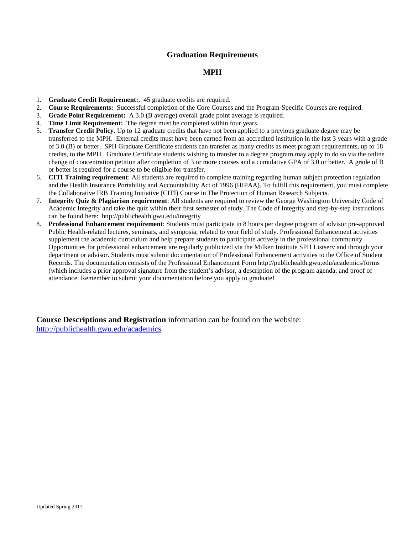## **Graduation Requirements**

## **MPH**

- 1. **Graduate Credit Requirement:.** 45 graduate credits are required.
- 2. **Course Requirements:** Successful completion of the Core Courses and the Program-Specific Courses are required.
- 3. **Grade Point Requirement:** A 3.0 (B average) overall grade point average is required.
- 4. **Time Limit Requirement:** The degree must be completed within four years.
- 5. **Transfer Credit Policy.** Up to 12 graduate credits that have not been applied to a previous graduate degree may be transferred to the MPH. External credits must have been earned from an accredited institution in the last 3 years with a grade of 3.0 (B) or better. SPH Graduate Certificate students can transfer as many credits as meet program requirements, up to 18 credits, to the MPH. Graduate Certificate students wishing to transfer to a degree program may apply to do so via the online change of concentration petition after completion of 3 or more courses and a cumulative GPA of 3.0 or better. A grade of B or better is required for a course to be eligible for transfer.
- 6. **CITI Training requirement**: All students are required to complete training regarding human subject protection regulation and the Health Insurance Portability and Accountability Act of 1996 (HIPAA). To fulfill this requirement, you must complete the Collaborative IRB Training Initiative (CITI) Course in The Protection of Human Research Subjects.
- 7. **Integrity Quiz & Plagiarism requirement**: All students are required to review the George Washington University Code of Academic Integrity and take the quiz within their first semester of study. The Code of Integrity and step-by-step instructions can be found here: http://publichealth.gwu.edu/integrity
- 8. **Professional Enhancement requirement**: Students must participate in 8 hours per degree program of advisor pre-approved Public Health-related lectures, seminars, and symposia, related to your field of study. Professional Enhancement activities supplement the academic curriculum and help prepare students to participate actively in the professional community. Opportunities for professional enhancement are regularly publicized via the Milken Institute SPH Listserv and through your department or advisor. Students must submit documentation of Professional Enhancement activities to the Office of Student Records. The documentation consists of the Professional Enhancement Form http://publichealth.gwu.edu/academics/forms (which includes a prior approval signature from the student's advisor, a description of the program agenda, and proof of attendance. Remember to submit your documentation before you apply to graduate!

**Course Descriptions and Registration** information can be found on the website: <http://publichealth.gwu.edu/academics>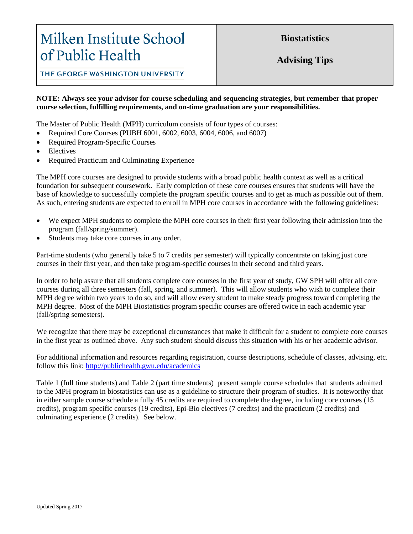# Milken Institute School of Public Health

**Biostatistics**

**Advising Tips**

THE GEORGE WASHINGTON UNIVERSITY

### **NOTE: Always see your advisor for course scheduling and sequencing strategies, but remember that proper course selection, fulfilling requirements, and on-time graduation are your responsibilities.**

The Master of Public Health (MPH) curriculum consists of four types of courses:

- Required Core Courses (PUBH 6001, 6002, 6003, 6004, 6006, and 6007)
- Required Program-Specific Courses
- **Electives**
- Required Practicum and Culminating Experience

The MPH core courses are designed to provide students with a broad public health context as well as a critical foundation for subsequent coursework. Early completion of these core courses ensures that students will have the base of knowledge to successfully complete the program specific courses and to get as much as possible out of them. As such, entering students are expected to enroll in MPH core courses in accordance with the following guidelines:

- We expect MPH students to complete the MPH core courses in their first year following their admission into the program (fall/spring/summer).
- Students may take core courses in any order.

Part-time students (who generally take 5 to 7 credits per semester) will typically concentrate on taking just core courses in their first year, and then take program-specific courses in their second and third years.

In order to help assure that all students complete core courses in the first year of study, GW SPH will offer all core courses during all three semesters (fall, spring, and summer). This will allow students who wish to complete their MPH degree within two years to do so, and will allow every student to make steady progress toward completing the MPH degree. Most of the MPH Biostatistics program specific courses are offered twice in each academic year (fall/spring semesters).

We recognize that there may be exceptional circumstances that make it difficult for a student to complete core courses in the first year as outlined above. Any such student should discuss this situation with his or her academic advisor.

For additional information and resources regarding registration, course descriptions, schedule of classes, advising, etc. follow this link: <http://publichealth.gwu.edu/academics>

Table 1 (full time students) and Table 2 (part time students) present sample course schedules that students admitted to the MPH program in biostatistics can use as a guideline to structure their program of studies. It is noteworthy that in either sample course schedule a fully 45 credits are required to complete the degree, including core courses (15 credits), program specific courses (19 credits), Epi-Bio electives (7 credits) and the practicum (2 credits) and culminating experience (2 credits). See below.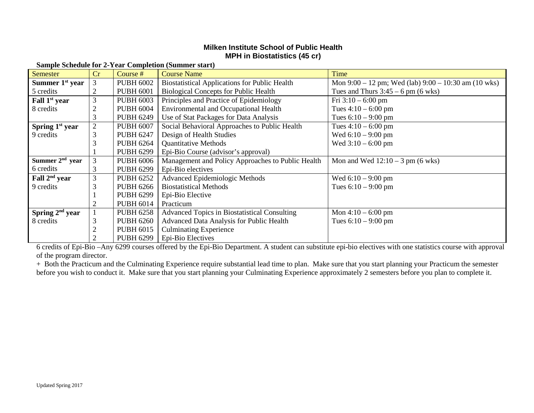## **Milken Institute School of Public Health MPH in Biostatistics (45 cr)**

| <b>Semester</b>             | Cr             | Course #         | <b>Course Name</b>                                   | Time                                                 |  |  |  |
|-----------------------------|----------------|------------------|------------------------------------------------------|------------------------------------------------------|--|--|--|
| Summer $1st$ year           | 3              | <b>PUBH 6002</b> | <b>Biostatistical Applications for Public Health</b> | Mon 9:00 – 12 pm; Wed (lab) 9:00 – 10:30 am (10 wks) |  |  |  |
| 5 credits                   | 2              | <b>PUBH 6001</b> | <b>Biological Concepts for Public Health</b>         | Tues and Thurs $3:45 - 6$ pm (6 wks)                 |  |  |  |
| Fall 1 <sup>st</sup> year   | 3              | <b>PUBH 6003</b> | Principles and Practice of Epidemiology              | Fri $3:10 - 6:00$ pm                                 |  |  |  |
| 8 credits                   |                | <b>PUBH 6004</b> | <b>Environmental and Occupational Health</b>         | Tues $4:10 - 6:00$ pm                                |  |  |  |
|                             | 3              | <b>PUBH 6249</b> | Use of Stat Packages for Data Analysis               | Tues $6:10 - 9:00$ pm                                |  |  |  |
| Spring $1st$ year           | $\overline{2}$ | <b>PUBH 6007</b> | Social Behavioral Approaches to Public Health        | Tues $4:10 - 6:00$ pm                                |  |  |  |
| 9 credits                   |                | <b>PUBH 6247</b> | Design of Health Studies                             | Wed $6:10 - 9:00$ pm                                 |  |  |  |
|                             |                | <b>PUBH 6264</b> | <b>Quantitative Methods</b>                          | Wed $3:10 - 6:00$ pm                                 |  |  |  |
|                             |                | <b>PUBH 6299</b> | Epi-Bio Course (advisor's approval)                  |                                                      |  |  |  |
| Summer $2nd$ year           | 3              | <b>PUBH 6006</b> | Management and Policy Approaches to Public Health    | Mon and Wed $12:10 - 3$ pm (6 wks)                   |  |  |  |
| 6 credits                   | 3              | <b>PUBH 6299</b> | Epi-Bio electives                                    |                                                      |  |  |  |
| Fall 2 <sup>nd</sup> year   | 3              | <b>PUBH 6252</b> | Advanced Epidemiologic Methods                       | Wed $6:10 - 9:00$ pm                                 |  |  |  |
| 9 credits                   |                | <b>PUBH 6266</b> | <b>Biostatistical Methods</b>                        | Tues $6:10 - 9:00$ pm                                |  |  |  |
|                             |                | <b>PUBH 6299</b> | Epi-Bio Elective                                     |                                                      |  |  |  |
|                             |                | <b>PUBH 6014</b> | Practicum                                            |                                                      |  |  |  |
| Spring 2 <sup>nd</sup> year |                | <b>PUBH 6258</b> | Advanced Topics in Biostatistical Consulting         | Mon $4:10 - 6:00$ pm                                 |  |  |  |
| 8 credits                   |                | <b>PUBH 6260</b> | Advanced Data Analysis for Public Health             | Tues $6:10 - 9:00$ pm                                |  |  |  |
|                             |                | <b>PUBH 6015</b> | <b>Culminating Experience</b>                        |                                                      |  |  |  |
|                             |                | <b>PUBH 6299</b> | Epi-Bio Electives                                    |                                                      |  |  |  |

**Sample Schedule for 2-Year Completion (Summer start)**

6 credits of Epi-Bio –Any 6299 courses offered by the Epi-Bio Department. A student can substitute epi-bio electives with one statistics course with approval of the program director.

+ Both the Practicum and the Culminating Experience require substantial lead time to plan. Make sure that you start planning your Practicum the semester before you wish to conduct it. Make sure that you start planning your Culminating Experience approximately 2 semesters before you plan to complete it.